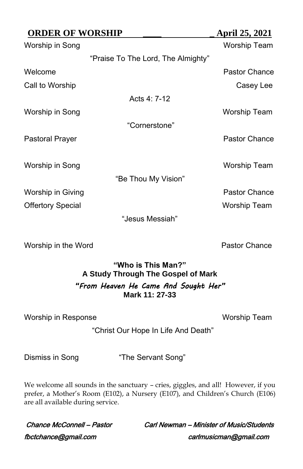| <b>ORDER OF WORSHIP</b>  |                                    | April 25, 2021       |
|--------------------------|------------------------------------|----------------------|
| Worship in Song          |                                    | Worship Team         |
|                          | "Praise To The Lord, The Almighty" |                      |
| Welcome                  |                                    | <b>Pastor Chance</b> |
| Call to Worship          |                                    | Casey Lee            |
|                          | Acts 4: 7-12                       |                      |
| Worship in Song          |                                    | Worship Team         |
|                          | "Cornerstone"                      |                      |
| Pastoral Prayer          |                                    | Pastor Chance        |
|                          |                                    |                      |
| Worship in Song          |                                    | Worship Team         |
|                          | "Be Thou My Vision"                |                      |
| Worship in Giving        |                                    | Pastor Chance        |
| <b>Offertory Special</b> |                                    | Worship Team         |
|                          | "Jesus Messiah"                    |                      |

Worship in the Word **Pastor Chance** 

# **"Who is This Man?" A Study Through The Gospel of Mark** *"From Heaven He Came And Sought Her"* **Mark 11: 27-33**

Worship in Response Worship Team

"Christ Our Hope In Life And Death"

Dismiss in Song "The Servant Song"

We welcome all sounds in the sanctuary – cries, giggles, and all! However, if you prefer, a Mother's Room (E102), a Nursery (E107), and Children's Church (E106) are all available during service.

fbctchance@gmail.com carlmusicman@gmail.com

Chance McConnell – Pastor Carl Newman – Minister of Music/Students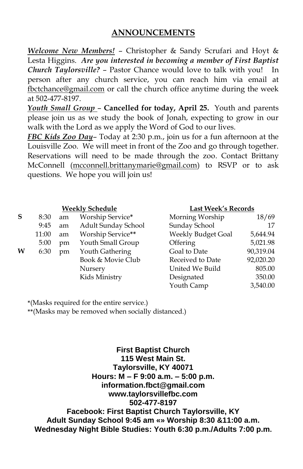## **ANNOUNCEMENTS**

*Welcome New Members!* – Christopher & Sandy Scrufari and Hoyt & Lesta Higgins. *Are you interested in becoming a member of First Baptist Church Taylorsville?* – Pastor Chance would love to talk with you! In person after any church service, you can reach him via email at [fbctchance@gmail.com](mailto:fbctchance@gmail.com) or call the church office anytime during the week at 502-477-8197.

*Youth Small Group* – **Cancelled for today, April 25.** Youth and parents please join us as we study the book of Jonah, expecting to grow in our walk with the Lord as we apply the Word of God to our lives.

*FBC Kids Zoo Day*– Today at 2:30 p.m., join us for a fun afternoon at the Louisville Zoo. We will meet in front of the Zoo and go through together. Reservations will need to be made through the zoo. Contact Brittany McConnell [\(mcconnell.brittanymarie@gmail.com\)](mailto:mcconnell.brittanymarie@gmail.com) to RSVP or to ask questions. We hope you will join us!

| S | 8:30  | am | Worship Service*    | Morning Worship    | 18/69     |
|---|-------|----|---------------------|--------------------|-----------|
|   | 9:45  | am | Adult Sunday School | Sunday School      | 17        |
|   | 11:00 | am | Worship Service**   | Weekly Budget Goal | 5,644.94  |
|   | 5:00  | pm | Youth Small Group   | <b>Offering</b>    | 5,021.98  |
| W | 6:30  | pm | Youth Gathering     | Goal to Date       | 90,319.04 |
|   |       |    | Book & Movie Club   | Received to Date   | 92,020.20 |
|   |       |    | Nursery             | United We Build    | 805.00    |
|   |       |    | Kids Ministry       | Designated         | 350.00    |
|   |       |    |                     | $\sim$ $\sim$      | 2.5000    |

### **Weekly Schedule Last Week's Records**

| Worship Service*    | Morning Worship    | 18/69     |
|---------------------|--------------------|-----------|
| Adult Sunday School | Sunday School      | 17        |
| Worship Service**   | Weekly Budget Goal | 5,644.94  |
| Youth Small Group   | Offering           | 5,021.98  |
| Youth Gathering     | Goal to Date       | 90,319.04 |
| Book & Movie Club   | Received to Date   | 92,020.20 |
| Nursery             | United We Build    | 805.00    |
| Kids Ministry       | Designated         | 350.00    |
|                     | Youth Camp         | 3,540.00  |
|                     |                    |           |

**\***(Masks required for the entire service.)

**\*\***(Masks may be removed when socially distanced.)

**First Baptist Church 115 West Main St. Taylorsville, KY 40071 Hours: M – F 9:00 a.m. – 5:00 p.m. information.fbct@gmail.com www.taylorsvillefbc.com 502-477-8197 Facebook: First Baptist Church Taylorsville, KY Adult Sunday School 9:45 am «» Worship 8:30 &11:00 a.m. Wednesday Night Bible Studies: Youth 6:30 p.m./Adults 7:00 p.m.**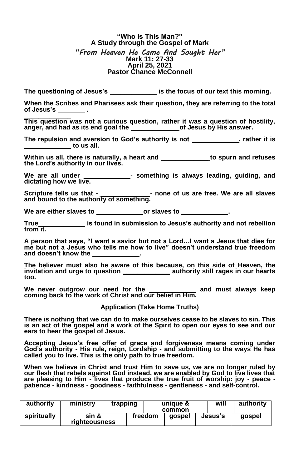### **"Who is This Man?" A Study through the Gospel of Mark** *"From Heaven He Came And Sought Her"* **Mark 11: 27-33 April 25, 2021 Pastor Chance McConnell**

**The questioning of Jesus's \_\_\_\_\_\_\_\_\_\_\_\_\_ is the focus of our text this morning.**

**When the Scribes and Pharisees ask their question, they are referring to the total of Jesus's .**

**\_\_\_\_\_\_\_\_\_\_\_\_\_ This question was not a curious question, rather it was a question of hostility, anger, and had as its end goal the \_\_\_\_\_\_\_\_\_\_\_\_\_ of Jesus by His answer.** 

**The repulsion and aversion to God's authority is not \_\_\_\_\_\_\_\_\_\_\_\_\_, rather it is \_\_\_\_\_\_\_\_\_\_\_\_\_ to us all.**

**Within us all, there is naturally, a heart and \_\_\_\_\_\_\_\_\_\_\_\_\_ to spurn and refuses the Lord's authority in our lives.**

 **We are all under \_\_\_\_\_\_\_\_\_\_\_\_\_- something is always leading, guiding, and dictating how we live.**

**Scripture tells us that - \_\_\_\_\_\_\_\_\_\_\_\_\_ - none of us are free. We are all slaves and bound to the authority of something.** 

**We are either slaves to \_\_\_\_\_\_\_\_\_\_\_\_\_or slaves to \_\_\_\_\_\_\_\_\_\_\_\_\_.** 

**True\_\_\_\_\_\_\_\_\_\_\_\_\_ is found in submission to Jesus's authority and not rebellion from it.**

**A person that says, "I want a savior but not a Lord…I want a Jesus that dies for me but not a Jesus who tells me how to live" doesn't understand true freedom and doesn't know the \_\_\_\_\_\_\_\_\_\_\_\_\_.** 

**The believer must also be aware of this because, on this side of Heaven, the invitation and urge to question \_\_\_\_\_\_\_\_\_\_\_\_\_ authority still rages in our hearts too.**

**We never outgrow our need for the \_\_\_\_\_\_\_\_\_\_\_\_\_ and must always keep coming back to the work of Christ and our belief in Him.**

**Application (Take Home Truths)**

**There is nothing that we can do to make ourselves cease to be slaves to sin. This is an act of the gospel and a work of the Spirit to open our eyes to see and our ears to hear the gospel of Jesus.**

**Accepting Jesus's free offer of grace and forgiveness means coming under God's authority - His rule, reign, Lordship - and submitting to the ways He has called you to live. This is the only path to true freedom.** 

**When we believe in Christ and trust Him to save us, we are no longer ruled by our flesh that rebels against God instead, we are enabled by God to live lives that are pleasing to Him - lives that produce the true fruit of worship: joy - peace - patience - kindness - goodness - faithfulness - gentleness - and self-control.**

| authority   | ministry               | trapping | unique &<br>common |  |         | will | authority |  |
|-------------|------------------------|----------|--------------------|--|---------|------|-----------|--|
| spiritually | sin &<br>riahteousness |          | freedom<br>aospel  |  | Jesus's |      | aospel    |  |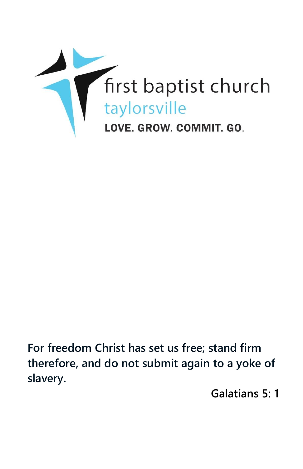

**For freedom Christ has set us free; stand firm therefore, and do not submit again to a yoke of slavery.**

**Galatians 5: 1**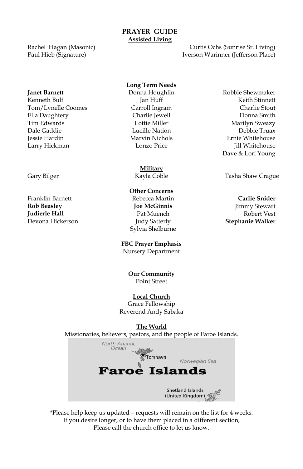### **PRAYER GUIDE Assisted Living**

Rachel Hagan (Masonic) Paul Hieb (Signature)

Curtis Ochs (Sunrise Sr. Living) Iverson Warinner (Jefferson Place)

Kenneth Bulf **Guide Communist Communist Communist Communist Communist Communist Communist Communist Communist Communist Communist Communist Communist Communist Communist Communist Communist Communist Communist Communist Co** Tom/Lynelle Coomes Carroll Ingram Charlie Stout Ella Daughtery Charlie Jewell Donna Smith Tim Edwards **Marilyn Sweazy** Lottie Miller **Marilyn Sweazy** Dale Gaddie Lucille Nation Debbie Truax Jessie Hardin Marvin Nichols Ernie Whitehouse Larry Hickman Lonzo Price Jill Whitehouse

Franklin Barnett Rebecca Martin **Carlie Snider Rob Beasley Joe McGinnis** Jimmy Stewart **Iudierle Hall Pat Muench Pat Muench Pat Muench Robert Vest** Devona Hickerson Judy Satterly **Stephanie Walker**

### **Long Term Needs**

**Military**

## **Other Concerns**

Sylvia Shelburne

## **FBC Prayer Emphasis**

Nursery Department

**Our Community** Point Street

### **Local Church**

Grace Fellowship Reverend Andy Sabaka

### **The World**

Missionaries, believers, pastors, and the people of Faroe Islands.



\*Please help keep us updated – requests will remain on the list for 4 weeks. If you desire longer, or to have them placed in a different section, Please call the church office to let us know.

**Janet Barnett Commandial Commandial Donna Houghlin Robbie Shewmaker** Dave & Lori Young

Gary Bilger **Tasha Shaw Crague Coble** Tasha Shaw Crague